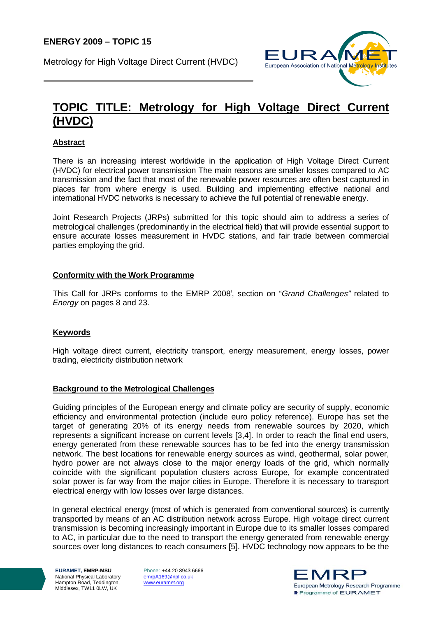Metrology for High Voltage Direct Current (HVDC)



# **TOPIC TITLE: Metrology for High Voltage Direct Current (HVDC)**

## **Abstract**

There is an increasing interest worldwide in the application of High Voltage Direct Current (HVDC) for electrical power transmission The main reasons are smaller losses compared to AC transmission and the fact that most of the renewable power resources are often best captured in places far from where energy is used. Building and implementing effective national and international HVDC networks is necessary to achieve the full potential of renewable energy.

Joint Research Projects (JRPs) submitted for this topic should aim to address a series of metrological challenges (predominantly in the electrical field) that will provide essential support to ensure accurate losses measurement in HVDC stations, and fair trade between commercial parties employing the grid.

## **Conformity with the Work Programme**

This Call for JRPs conforms to the EMRP 2008i , section on "*Grand Challenges"* related to *Energy* on pages 8 and 23.

## **Keywords**

High voltage direct current, electricity transport, energy measurement, energy losses, power trading, electricity distribution network

## **Background to the Metrological Challenges**

Guiding principles of the European energy and climate policy are security of supply, economic efficiency and environmental protection (include euro policy reference). Europe has set the target of generating 20% of its energy needs from renewable sources by 2020, which represents a significant increase on current levels [3,4]. In order to reach the final end users, energy generated from these renewable sources has to be fed into the energy transmission network. The best locations for renewable energy sources as wind, geothermal, solar power, hydro power are not always close to the major energy loads of the grid, which normally coincide with the significant population clusters across Europe, for example concentrated solar power is far way from the major cities in Europe. Therefore it is necessary to transport electrical energy with low losses over large distances.

In general electrical energy (most of which is generated from conventional sources) is currently transported by means of an AC distribution network across Europe. High voltage direct current transmission is becoming increasingly important in Europe due to its smaller losses compared to AC, in particular due to the need to transport the energy generated from renewable energy sources over long distances to reach consumers [5]. HVDC technology now appears to be the

**EURAMET, EMRP-MSU**  National Physical Laboratory Hampton Road, Teddington, Middlesex, TW11 0LW, UK

Phone: +44 20 8943 6666 emrpA169@npl.co.uk www.euramet.org

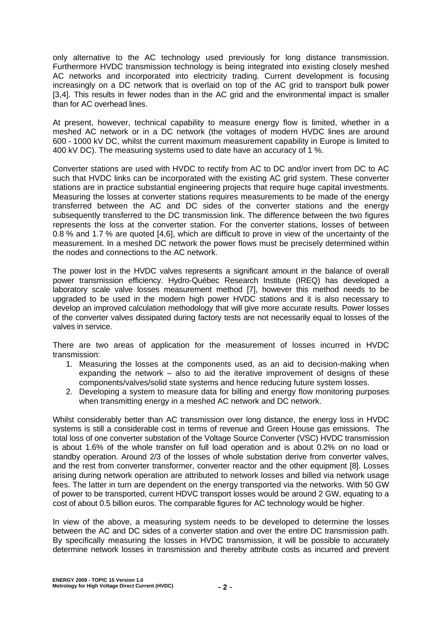only alternative to the AC technology used previously for long distance transmission. Furthermore HVDC transmission technology is being integrated into existing closely meshed AC networks and incorporated into electricity trading. Current development is focusing increasingly on a DC network that is overlaid on top of the AC grid to transport bulk power [3,4]. This results in fewer nodes than in the AC grid and the environmental impact is smaller than for AC overhead lines.

At present, however, technical capability to measure energy flow is limited, whether in a meshed AC network or in a DC network (the voltages of modern HVDC lines are around 600 - 1000 kV DC, whilst the current maximum measurement capability in Europe is limited to 400 kV DC). The measuring systems used to date have an accuracy of 1 %.

Converter stations are used with HVDC to rectify from AC to DC and/or invert from DC to AC such that HVDC links can be incorporated with the existing AC grid system. These converter stations are in practice substantial engineering projects that require huge capital investments. Measuring the losses at converter stations requires measurements to be made of the energy transferred between the AC and DC sides of the converter stations and the energy subsequently transferred to the DC transmission link. The difference between the two figures represents the loss at the converter station. For the converter stations, losses of between 0.8 % and 1.7 % are quoted [4,6], which are difficult to prove in view of the uncertainty of the measurement. In a meshed DC network the power flows must be precisely determined within the nodes and connections to the AC network.

The power lost in the HVDC valves represents a significant amount in the balance of overall power transmission efficiency. Hydro-Québec Research Institute (IREQ) has developed a laboratory scale valve losses measurement method [7], however this method needs to be upgraded to be used in the modern high power HVDC stations and it is also necessary to develop an improved calculation methodology that will give more accurate results. Power losses of the converter valves dissipated during factory tests are not necessarily equal to losses of the valves in service.

There are two areas of application for the measurement of losses incurred in HVDC transmission:

- 1. Measuring the losses at the components used, as an aid to decision-making when expanding the network – also to aid the iterative improvement of designs of these components/valves/solid state systems and hence reducing future system losses.
- 2. Developing a system to measure data for billing and energy flow monitoring purposes when transmitting energy in a meshed AC network and DC network.

Whilst considerably better than AC transmission over long distance, the energy loss in HVDC systems is still a considerable cost in terms of revenue and Green House gas emissions. The total loss of one converter substation of the Voltage Source Converter (VSC) HVDC transmission is about 1.6% of the whole transfer on full load operation and is about 0.2% on no load or standby operation. Around 2/3 of the losses of whole substation derive from converter valves, and the rest from converter transformer, converter reactor and the other equipment [8]. Losses arising during network operation are attributed to network losses and billed via network usage fees. The latter in turn are dependent on the energy transported via the networks. With 50 GW of power to be transported, current HDVC transport losses would be around 2 GW, equating to a cost of about 0.5 billion euros. The comparable figures for AC technology would be higher.

In view of the above, a measuring system needs to be developed to determine the losses between the AC and DC sides of a converter station and over the entire DC transmission path. By specifically measuring the losses in HVDC transmission, it will be possible to accurately determine network losses in transmission and thereby attribute costs as incurred and prevent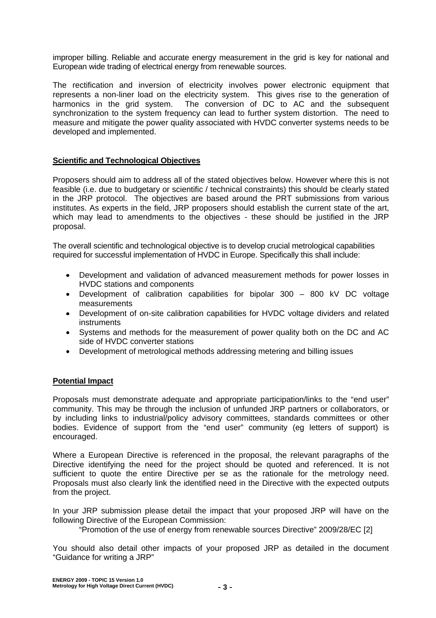improper billing. Reliable and accurate energy measurement in the grid is key for national and European wide trading of electrical energy from renewable sources.

The rectification and inversion of electricity involves power electronic equipment that represents a non-liner load on the electricity system. This gives rise to the generation of harmonics in the grid system. The conversion of DC to AC and the subsequent synchronization to the system frequency can lead to further system distortion. The need to measure and mitigate the power quality associated with HVDC converter systems needs to be developed and implemented.

## **Scientific and Technological Objectives**

Proposers should aim to address all of the stated objectives below. However where this is not feasible (i.e. due to budgetary or scientific / technical constraints) this should be clearly stated in the JRP protocol. The objectives are based around the PRT submissions from various institutes. As experts in the field, JRP proposers should establish the current state of the art, which may lead to amendments to the objectives - these should be justified in the JRP proposal.

The overall scientific and technological objective is to develop crucial metrological capabilities required for successful implementation of HVDC in Europe. Specifically this shall include:

- Development and validation of advanced measurement methods for power losses in HVDC stations and components
- Development of calibration capabilities for bipolar 300 800 kV DC voltage measurements
- Development of on-site calibration capabilities for HVDC voltage dividers and related instruments
- Systems and methods for the measurement of power quality both on the DC and AC side of HVDC converter stations
- Development of metrological methods addressing metering and billing issues

#### **Potential Impact**

Proposals must demonstrate adequate and appropriate participation/links to the "end user" community. This may be through the inclusion of unfunded JRP partners or collaborators, or by including links to industrial/policy advisory committees, standards committees or other bodies. Evidence of support from the "end user" community (eg letters of support) is encouraged.

Where a European Directive is referenced in the proposal, the relevant paragraphs of the Directive identifying the need for the project should be quoted and referenced. It is not sufficient to quote the entire Directive per se as the rationale for the metrology need. Proposals must also clearly link the identified need in the Directive with the expected outputs from the project.

In your JRP submission please detail the impact that your proposed JRP will have on the following Directive of the European Commission:

"Promotion of the use of energy from renewable sources Directive" 2009/28/EC [2]

You should also detail other impacts of your proposed JRP as detailed in the document "Guidance for writing a JRP"